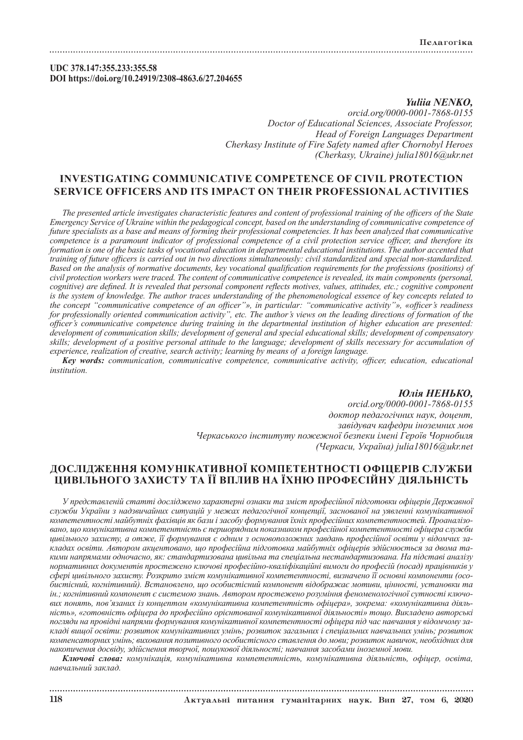## **UDC 378.147:355.233:355.58 DOI https://doi.org/10.24919/2308-4863.6/27.204655**

## *Yuliia NENKO, orcid.org/0000-0001-7868-0155 Doctor of Educational Sciences, Associate Professor, Head of Foreign Languages Department Cherkasy Institute of Fire Safety named after Chornobyl Heroes (Cherkasy, Ukraine) julia18016@ukr.net*

# **INVESTIGATING COMMUNICATIVE COMPETENCE OF CIVIL PROTECTION SERVICE OFFICERS AND ITS IMPACT ON THEIR PROFESSIONAL ACTIVITIES**

*The presented article investigates characteristic features and content of professional training of the officers of the State Emergency Service of Ukraine within the pedagogical concept, based on the understanding of communicative competence of future specialists as a base and means of forming their professional competencies. It has been analyzed that communicative competence is a paramount indicator of professional competence of a civil protection service officer, and therefore its formation is one of the basic tasks of vocational education in departmental educational institutions. The author accented that training of future officers is carried out in two directions simultaneously: civil standardized and special non-standardized. Based on the analysis of normative documents, key vocational qualification requirements for the professions (positions) of civil protection workers were traced. The content of communicative competence is revealed, its main components (personal, cognitive) are defined. It is revealed that personal component reflects motives, values, attitudes, etc.; cognitive component is the system of knowledge. The author traces understanding of the phenomenological essence of key concepts related to the concept "communicative competence of an officer"», in particular: "communicative activity"», «officer's readiness for professionally oriented communication activity", etc. The author's views on the leading directions of formation of the officer's communicative competence during training in the departmental institution of higher education are presented: development of communication skills; development of general and special educational skills; development of compensatory skills; development of a positive personal attitude to the language; development of skills necessary for accumulation of experience, realization of creative, search activity; learning by means of a foreign language.*

*Key words: communication, communicative competence, communicative activity, officer, education, educational institution.* 

## *Юлія НЕНЬКО, orcid.org/0000-0001-7868-0155 доктор педагогічних наук, доцент, завідувач кафедри іноземних мов Черкаського інституту пожежної безпеки імені Героїв Чорнобиля (Черкаси, Україна) julia18016@ukr.net*

## **ДОСЛІДЖЕННЯ КОМУНІКАТИВНОЇ КОМПЕТЕНТНОСТІ ОФІЦЕРІВ СЛУЖБИ ЦИВІЛЬНОГО ЗАХИСТУ ТА ЇЇ ВПЛИВ НА ЇХНЮ ПРОФЕСІЙНУ ДІЯЛЬНІСТЬ**

*У представленій статті досліджено характерні ознаки та зміст професійної підготовки офіцерів Державної служби України з надзвичайних ситуацій у межах педагогічної концепції, заснованої на уявленні комунікативної компетентності майбутніх фахівців як бази і засобу формування їхніх професійних компетентностей. Проаналізовано, що комунікативна компетентність є першорядним показником професійної компетентності офіцера служби цивільного захисту, а отже, її формування є одним з основоположних завдань професійної освіти у відомчих закладах освіти. Автором акцентовано, що професійна підготовка майбутніх офіцерів здійснюється за двома такими напрямами одночасно, як: стандартизована цивільна та спеціальна нестандартизована. На підставі аналізу нормативних документів простежено ключові професійно-кваліфікаційні вимоги до професій (посад) працівників у сфері цивільного захисту. Розкрито зміст комунікативної компетентності, визначено її основні компоненти (особистісний, когнітивний). Встановлено, що особистісний компонент відображає мотиви, цінності, установки та ін.; когнітивний компонент є системою знань. Автором простежено розуміння феноменологічної сутності ключових понять, пов'язаних із концептом «комунікативна компетентність офіцера», зокрема: «комунікативна діяльність», «готовність офіцера до професійно орієнтованої комунікативної діяльності» тощо. Викладено авторські погляди на провідні напрями формування комунікативної компетентності офіцера під час навчання у відомчому закладі вищої освіти: розвиток комунікативних умінь; розвиток загальних і спеціальних навчальних умінь; розвиток компенсаторних умінь; виховання позитивного особистісного ставлення до мови; розвиток навичок, необхідних для накопичення досвіду, здійснення творчої, пошукової діяльності; навчання засобами іноземної мови.*

*Ключові слова: комунікація, комунікативна компетентність, комунікативна діяльність, офіцер, освіта, навчальний заклад.*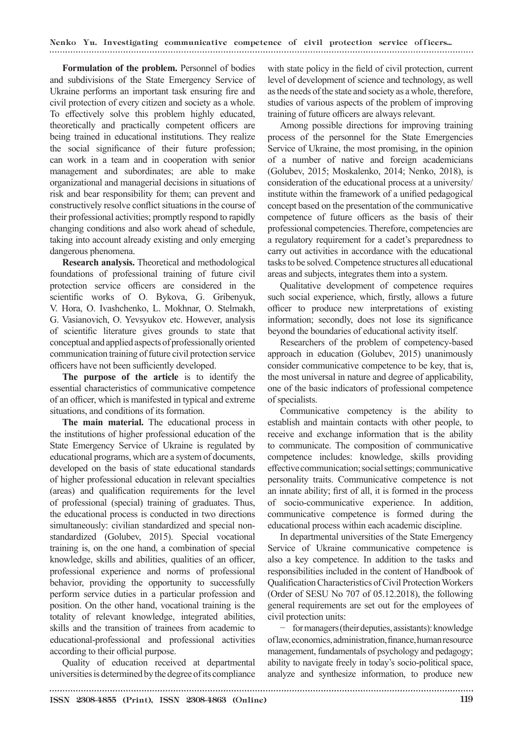Nenko Yu. Investigating communicative competence of civil protection service officers...

**Formulation of the problem.** Personnel of bodies and subdivisions of the State Emergency Service of Ukraine performs an important task ensuring fire and civil protection of every citizen and society as a whole. To effectively solve this problem highly educated, theoretically and practically competent officers are being trained in educational institutions. They realize the social significance of their future profession; can work in a team and in cooperation with senior management and subordinates; are able to make organizational and managerial decisions in situations of risk and bear responsibility for them; can prevent and constructively resolve conflict situations in the course of their professional activities; promptly respond to rapidly changing conditions and also work ahead of schedule, taking into account already existing and only emerging dangerous phenomena.

**Research analysis.** Theoretical and methodological foundations of professional training of future civil protection service officers are considered in the scientific works of O. Bykova, G. Gribenyuk, V. Hora, O. Ivashchenko, L. Mokhnar, O. Stelmakh, G. Vasianovich, O. Yevsyukov etc. However, analysis of scientific literature gives grounds to state that conceptual and applied aspects of professionally oriented communication training of future civil protection service officers have not been sufficiently developed.

**The purpose of the article** is to identify the essential characteristics of communicative competence of an officer, which is manifested in typical and extreme situations, and conditions of its formation.

**The main material.** The educational process in the institutions of higher professional education of the State Emergency Service of Ukraine is regulated by educational programs, which are a system of documents, developed on the basis of state educational standards of higher professional education in relevant specialties (areas) and qualification requirements for the level of professional (special) training of graduates. Thus, the educational process is conducted in two directions simultaneously: civilian standardized and special nonstandardized (Golubev, 2015). Special vocational training is, on the one hand, a combination of special knowledge, skills and abilities, qualities of an officer, professional experience and norms of professional behavior, providing the opportunity to successfully perform service duties in a particular profession and position. On the other hand, vocational training is the totality of relevant knowledge, integrated abilities, skills and the transition of trainees from academic to educational-professional and professional activities according to their official purpose.

Quality of education received at departmental universities is determined by the degree of its compliance with state policy in the field of civil protection, current level of development of science and technology, as well as the needs of the state and society as a whole, therefore, studies of various aspects of the problem of improving training of future officers are always relevant.

Among possible directions for improving training process of the personnel for the State Emergencies Service of Ukraine, the most promising, in the opinion of a number of native and foreign academicians (Golubev, 2015; Moskalenko, 2014; Nenko, 2018), is consideration of the educational process at a university/ institute within the framework of a unified pedagogical concept based on the presentation of the communicative competence of future officers as the basis of their professional competencies. Therefore, competencies are a regulatory requirement for a cadet's preparedness to carry out activities in accordance with the educational tasks to be solved. Competence structures all educational areas and subjects, integrates them into a system.

Qualitative development of competence requires such social experience, which, firstly, allows a future officer to produce new interpretations of existing information; secondly, does not lose its significance beyond the boundaries of educational activity itself.

Researchers of the problem of competency-based approach in education (Golubev, 2015) unanimously consider communicative competence to be key, that is, the most universal in nature and degree of applicability, one of the basic indicators of professional competence of specialists.

Communicative competency is the ability to establish and maintain contacts with other people, to receive and exchange information that is the ability to communicate. The composition of communicative competence includes: knowledge, skills providing effective communication; social settings; communicative personality traits. Communicative competence is not an innate ability; first of all, it is formed in the process of socio-communicative experience. In addition, communicative competence is formed during the educational process within each academic discipline.

In departmental universities of the State Emergency Service of Ukraine communicative competence is also a key competence. In addition to the tasks and responsibilities included in the content of Handbook of Qualification Characteristics of Civil Protection Workers (Order of SESU No 707 of 05.12.2018), the following general requirements are set out for the employees of civil protection units:

− for managers (their deputies, assistants): knowledge of law, economics, administration, finance, human resource management, fundamentals of psychology and pedagogy; ability to navigate freely in today's socio-political space, analyze and synthesize information, to produce new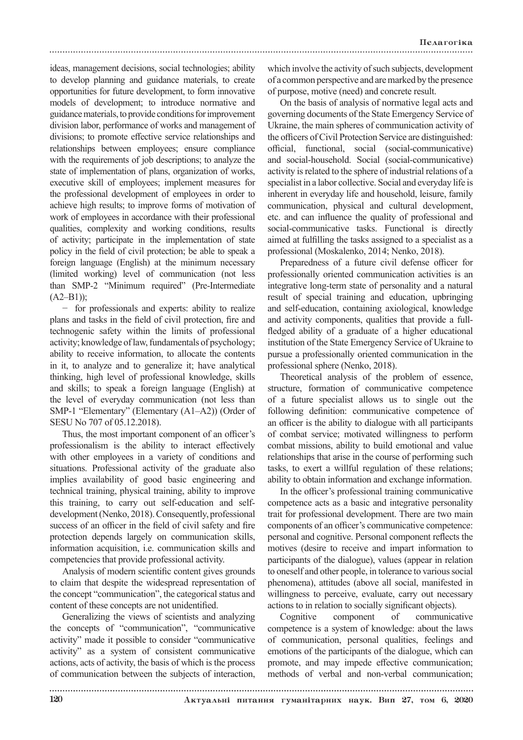ideas, management decisions, social technologies; ability to develop planning and guidance materials, to create opportunities for future development, to form innovative models of development; to introduce normative and guidance materials, to provide conditions for improvement division labor, performance of works and management of divisions; to promote effective service relationships and relationships between employees; ensure compliance with the requirements of job descriptions; to analyze the state of implementation of plans, organization of works, executive skill of employees; implement measures for the professional development of employees in order to achieve high results; to improve forms of motivation of work of employees in accordance with their professional qualities, complexity and working conditions, results of activity; participate in the implementation of state policy in the field of civil protection; be able to speak a foreign language (English) at the minimum necessary (limited working) level of communication (not less than SMP-2 "Minimum required" (Pre-Intermediate  $(A2-B1);$ 

− for professionals and experts: ability to realize plans and tasks in the field of civil protection, fire and technogenic safety within the limits of professional activity; knowledge of law, fundamentals of psychology; ability to receive information, to allocate the contents in it, to analyze and to generalize it; have analytical thinking, high level of professional knowledge, skills and skills; to speak a foreign language (English) at the level of everyday communication (not less than SMP-1 "Elementary" (Elementary (A1–A2)) (Order of SESU No 707 of 05.12.2018).

Thus, the most important component of an officer's professionalism is the ability to interact effectively with other employees in a variety of conditions and situations. Professional activity of the graduate also implies availability of good basic engineering and technical training, physical training, ability to improve this training, to carry out self-education and selfdevelopment (Nenko, 2018). Consequently, professional success of an officer in the field of civil safety and fire protection depends largely on communication skills, information acquisition, i.e. communication skills and competencies that provide professional activity.

Analysis of modern scientific content gives grounds to claim that despite the widespread representation of the concept "communication", the categorical status and content of these concepts are not unidentified.

Generalizing the views of scientists and analyzing the concepts of "communication", "communicative activity" made it possible to consider "communicative activity" as a system of consistent communicative actions, acts of activity, the basis of which is the process of communication between the subjects of interaction, which involve the activity of such subjects, development of a common perspective and are marked by the presence of purpose, motive (need) and concrete result.

On the basis of analysis of normative legal acts and governing documents of the State Emergency Service of Ukraine, the main spheres of communication activity of the officers of Civil Protection Service are distinguished: official, functional, social (social-communicative) and social-household. Social (social-communicative) activity is related to the sphere of industrial relations of a specialist in a labor collective. Social and everyday life is inherent in everyday life and household, leisure, family communication, physical and cultural development, etc. and can influence the quality of professional and social-communicative tasks. Functional is directly aimed at fulfilling the tasks assigned to a specialist as a professional (Moskalenko, 2014; Nenko, 2018).

Preparedness of a future civil defense officer for professionally oriented communication activities is an integrative long-term state of personality and a natural result of special training and education, upbringing and self-education, containing axiological, knowledge and activity components, qualities that provide a fullfledged ability of a graduate of a higher educational institution of the State Emergency Service of Ukraine to pursue a professionally oriented communication in the professional sphere (Nenko, 2018).

Theoretical analysis of the problem of essence, structure, formation of communicative competence of a future specialist allows us to single out the following definition: communicative competence of an officer is the ability to dialogue with all participants of combat service; motivated willingness to perform combat missions, ability to build emotional and value relationships that arise in the course of performing such tasks, to exert a willful regulation of these relations; ability to obtain information and exchange information.

In the officer's professional training communicative competence acts as a basic and integrative personality trait for professional development. There are two main components of an officer's communicative competence: personal and cognitive. Personal component reflects the motives (desire to receive and impart information to participants of the dialogue), values (appear in relation to oneself and other people, in tolerance to various social phenomena), attitudes (above all social, manifested in willingness to perceive, evaluate, carry out necessary actions to in relation to socially significant objects).

Cognitive component of communicative competence is a system of knowledge: about the laws of communication, personal qualities, feelings and emotions of the participants of the dialogue, which can promote, and may impede effective communication; methods of verbal and non-verbal communication;